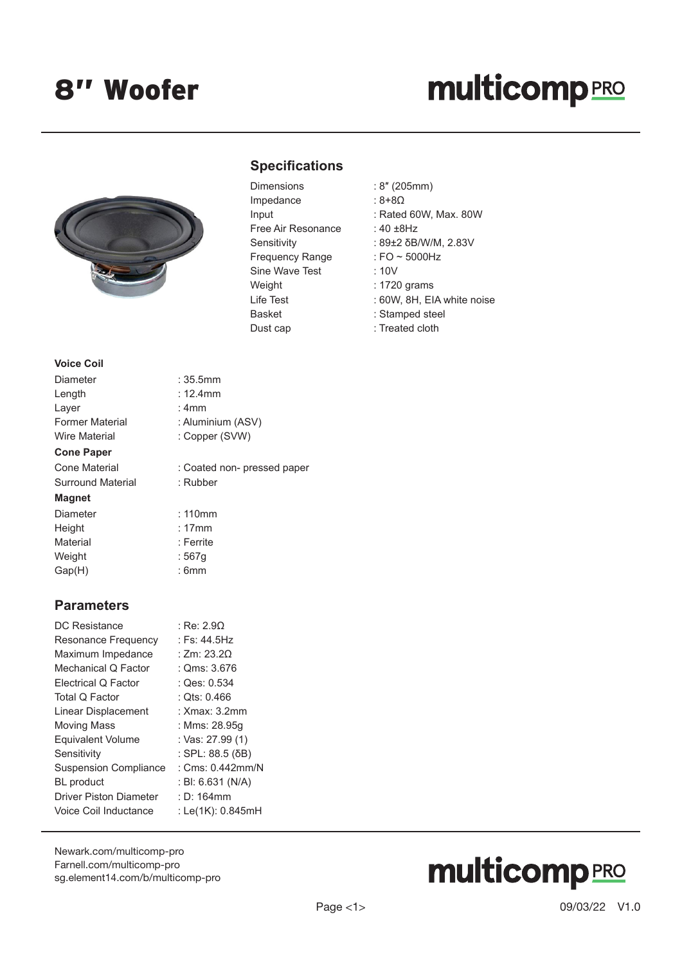## **multicomp**PRO



### **Specifications**

| Dimensions             |
|------------------------|
| Impedance              |
| Input                  |
| Free Air Resonance     |
| Sensitivity            |
| <b>Frequency Range</b> |
| Sine Wave Test         |
| Weight                 |
| I ife Test             |
| <b>Basket</b>          |
| Dust cap               |

- Dimensions : 8″ (205mm)
	- $: 8+8<sub>\Omega</sub>$
	- : Rated 60W, Max. 80W
	- :  $40 \pm 8$ Hz
	- : 89±2 δB/W/M, 2.83V
	- : FO  $\sim$  5000Hz
	- $: 10V$
	- $: 1720$  grams
	- : 60W, 8H, EIA white noise
	- : Stamped steel
	- : Treated cloth

| Diameter                 |
|--------------------------|
| Length                   |
| Layer                    |
| <b>Former Material</b>   |
| <b>Wire Material</b>     |
|                          |
| <b>Cone Paper</b>        |
| Cone Material            |
| <b>Surround Material</b> |
| Magnet                   |

**Voice Coil**

: Copper (SVW) : Coated non- pressed paper

: Aluminium (ASV)

: Rubber

 $: 110$ mm

 $: 35.5mm$  $: 12.4$ mm  $: 4mm$ 

Height : 17mm Material **Material** : Ferrite Weight : 567g Gap(H) : 6mm

#### **Parameters**

| DC Resistance                 | : Re: 2.90         |
|-------------------------------|--------------------|
| Resonance Frequency           | : Fs: 44.5Hz       |
| Maximum Impedance             | : Zm: $23.20$      |
| Mechanical Q Factor           | : Qms: 3.676       |
| Electrical Q Factor           | : Qes: 0.534       |
| Total Q Factor                | : Ots: 0.466       |
| Linear Displacement           | : Xmax: 3.2mm      |
| <b>Moving Mass</b>            | : Mms: 28.95q      |
| <b>Equivalent Volume</b>      | : Vas: 27.99 (1)   |
| Sensitivity                   | : SPL: 88.5 (δB)   |
| <b>Suspension Compliance</b>  | : $Cms: 0.442mm/N$ |
| <b>BL</b> product             | : BI: 6.631 (N/A)  |
| <b>Driver Piston Diameter</b> | $: D: 164$ mm      |
| Voice Coil Inductance         | : Le(1K): 0.845mH  |
|                               |                    |

[Newark.com/multicomp-](https://www.newark.com/multicomp-pro)pro [Farnell.com/multicomp](https://www.farnell.com/multicomp-pro)-pro [sg.element14.com/b/multicomp-pro](https://sg.element14.com/b/multicomp-pro)

# **multicomp**PRO